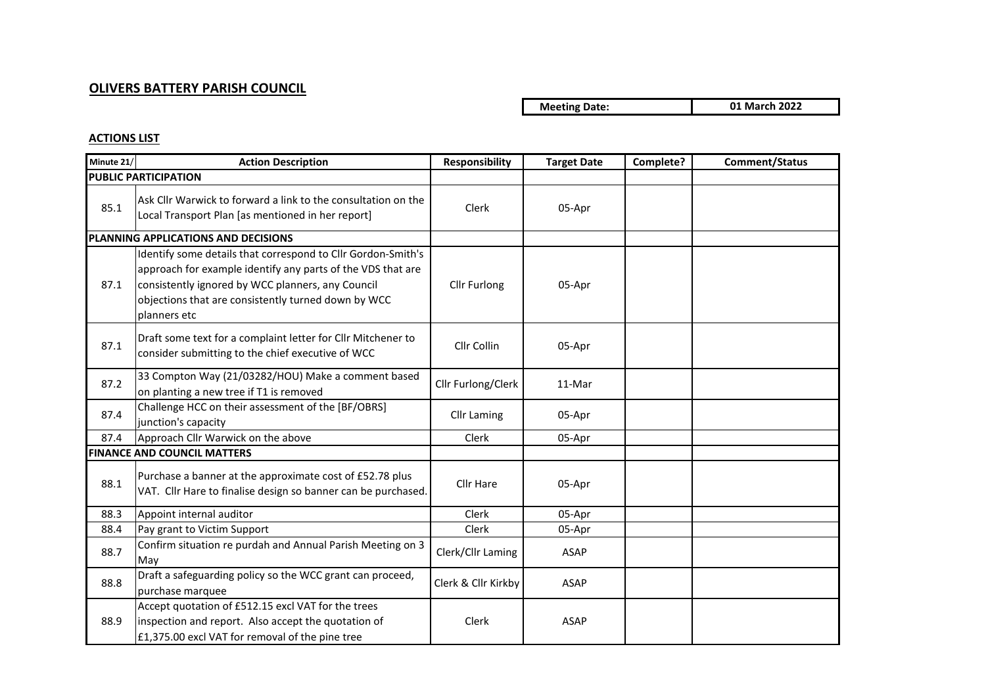## **OLIVERS BATTERY PARISH COUNCIL**

## **Meeting Date: 01 March 2022**

## **ACTIONS LIST**

| Minute 21/                          | <b>Action Description</b>                                                                                                                                                                                                                               | <b>Responsibility</b> | <b>Target Date</b> | Complete? | Comment/Status |
|-------------------------------------|---------------------------------------------------------------------------------------------------------------------------------------------------------------------------------------------------------------------------------------------------------|-----------------------|--------------------|-----------|----------------|
|                                     | <b>PUBLIC PARTICIPATION</b>                                                                                                                                                                                                                             |                       |                    |           |                |
| 85.1                                | Ask Cllr Warwick to forward a link to the consultation on the<br>Local Transport Plan [as mentioned in her report]                                                                                                                                      | Clerk                 | 05-Apr             |           |                |
| PLANNING APPLICATIONS AND DECISIONS |                                                                                                                                                                                                                                                         |                       |                    |           |                |
| 87.1                                | Identify some details that correspond to Cllr Gordon-Smith's<br>approach for example identify any parts of the VDS that are<br>consistently ignored by WCC planners, any Council<br>objections that are consistently turned down by WCC<br>planners etc | Cllr Furlong          | 05-Apr             |           |                |
| 87.1                                | Draft some text for a complaint letter for Cllr Mitchener to<br>consider submitting to the chief executive of WCC                                                                                                                                       | Cllr Collin           | 05-Apr             |           |                |
| 87.2                                | 33 Compton Way (21/03282/HOU) Make a comment based<br>on planting a new tree if T1 is removed                                                                                                                                                           | Cllr Furlong/Clerk    | 11-Mar             |           |                |
| 87.4                                | Challenge HCC on their assessment of the [BF/OBRS]<br>junction's capacity                                                                                                                                                                               | <b>Cllr Laming</b>    | 05-Apr             |           |                |
| 87.4                                | Approach Cllr Warwick on the above                                                                                                                                                                                                                      | Clerk                 | 05-Apr             |           |                |
| <b>FINANCE AND COUNCIL MATTERS</b>  |                                                                                                                                                                                                                                                         |                       |                    |           |                |
| 88.1                                | Purchase a banner at the approximate cost of £52.78 plus<br>VAT. Cllr Hare to finalise design so banner can be purchased.                                                                                                                               | Cllr Hare             | 05-Apr             |           |                |
| 88.3                                | Appoint internal auditor                                                                                                                                                                                                                                | Clerk                 | 05-Apr             |           |                |
| 88.4                                | Pay grant to Victim Support                                                                                                                                                                                                                             | Clerk                 | 05-Apr             |           |                |
| 88.7                                | Confirm situation re purdah and Annual Parish Meeting on 3<br>May                                                                                                                                                                                       | Clerk/Cllr Laming     | <b>ASAP</b>        |           |                |
| 88.8                                | Draft a safeguarding policy so the WCC grant can proceed,<br>purchase marquee                                                                                                                                                                           | Clerk & Cllr Kirkby   | <b>ASAP</b>        |           |                |
| 88.9                                | Accept quotation of £512.15 excl VAT for the trees<br>inspection and report. Also accept the quotation of<br>£1,375.00 excl VAT for removal of the pine tree                                                                                            | <b>Clerk</b>          | <b>ASAP</b>        |           |                |